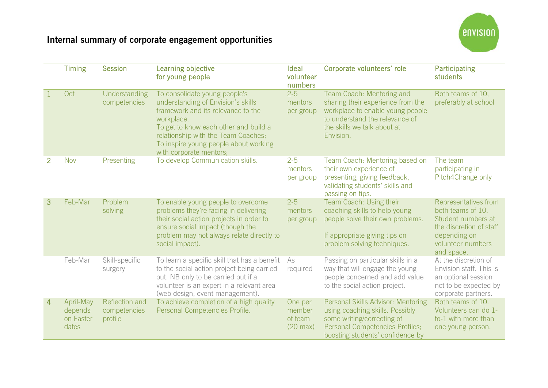## Internal summary of corporate engagement opportunities



|              | <b>Timing</b>                              | <b>Session</b>                            | Learning objective<br>for young people                                                                                                                                                                                                                                      | <b>Ideal</b><br>volunteer<br>numbers               | Corporate volunteers' role                                                                                                                                                       | Participating<br>students                                                                                                                     |
|--------------|--------------------------------------------|-------------------------------------------|-----------------------------------------------------------------------------------------------------------------------------------------------------------------------------------------------------------------------------------------------------------------------------|----------------------------------------------------|----------------------------------------------------------------------------------------------------------------------------------------------------------------------------------|-----------------------------------------------------------------------------------------------------------------------------------------------|
| $\mathbf{1}$ | Oct                                        | Understanding<br>competencies             | To consolidate young people's<br>understanding of Envision's skills<br>framework and its relevance to the<br>workplace.<br>To get to know each other and build a<br>relationship with the Team Coaches;<br>To inspire young people about working<br>with corporate mentors; | $2 - 5$<br>mentors<br>per group                    | Team Coach: Mentoring and<br>sharing their experience from the<br>workplace to enable young people<br>to understand the relevance of<br>the skills we talk about at<br>Envision. | Both teams of 10,<br>preferably at school                                                                                                     |
| 2            | <b>Nov</b>                                 | Presenting                                | To develop Communication skills.                                                                                                                                                                                                                                            | $2 - 5$<br>mentors<br>per group                    | Team Coach: Mentoring based on<br>their own experience of<br>presenting; giving feedback,<br>validating students' skills and<br>passing on tips.                                 | The team<br>participating in<br>Pitch4Change only                                                                                             |
| 3            | Feb-Mar                                    | Problem<br>solving                        | To enable young people to overcome<br>problems they're facing in delivering<br>their social action projects in order to<br>ensure social impact (though the<br>problem may not always relate directly to<br>social impact).                                                 | $2 - 5$<br>mentors<br>per group                    | Team Coach: Using their<br>coaching skills to help young<br>people solve their own problems.<br>If appropriate giving tips on<br>problem solving techniques.                     | Representatives from<br>both teams of 10.<br>Student numbers at<br>the discretion of staff<br>depending on<br>volunteer numbers<br>and space. |
|              | Feb-Mar                                    | Skill-specific<br>surgery                 | To learn a specific skill that has a benefit<br>to the social action project being carried<br>out. NB only to be carried out if a<br>volunteer is an expert in a relevant area<br>(web design, event management).                                                           | As<br>required                                     | Passing on particular skills in a<br>way that will engage the young<br>people concerned and add value<br>to the social action project.                                           | At the discretion of<br>Envision staff. This is<br>an optional session<br>not to be expected by<br>corporate partners.                        |
| 4            | April-May<br>depends<br>on Easter<br>dates | Reflection and<br>competencies<br>profile | To achieve completion of a high quality<br>Personal Competencies Profile.                                                                                                                                                                                                   | One per<br>member<br>of team<br>$(20 \text{ max})$ | Personal Skills Advisor: Mentoring<br>using coaching skills. Possibly<br>some writing/correcting of<br>Personal Competencies Profiles;<br>boosting students' confidence by       | Both teams of 10.<br>Volunteers can do 1-<br>to-1 with more than<br>one young person.                                                         |